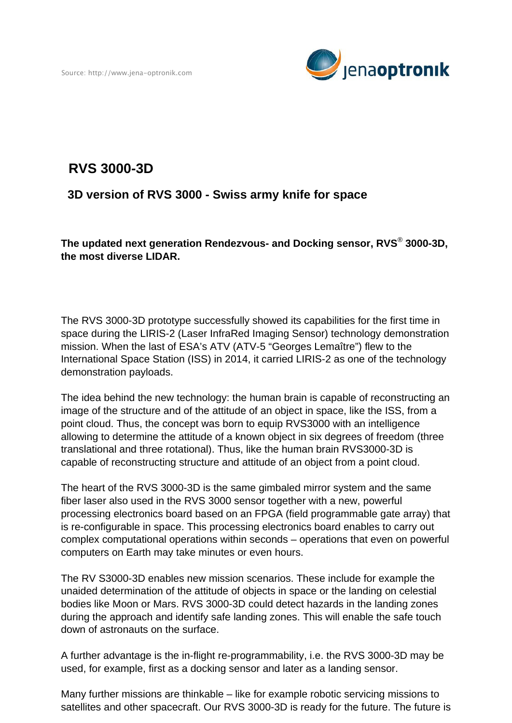

## **RVS 3000-3D**

## **3D version of RVS 3000 - Swiss army knife for space**

**The updated next generation Rendezvous- and Docking sensor, RVS**®  **3000-3D, the most diverse LIDAR.** 

The RVS 3000-3D prototype successfully showed its capabilities for the first time in space during the LIRIS-2 (Laser InfraRed Imaging Sensor) technology demonstration mission. When the last of ESA's ATV (ATV-5 "Georges Lemaître") flew to the International Space Station (ISS) in 2014, it carried LIRIS-2 as one of the technology demonstration payloads.

The idea behind the new technology: the human brain is capable of reconstructing an image of the structure and of the attitude of an object in space, like the ISS, from a point cloud. Thus, the concept was born to equip RVS3000 with an intelligence allowing to determine the attitude of a known object in six degrees of freedom (three translational and three rotational). Thus, like the human brain RVS3000-3D is capable of reconstructing structure and attitude of an object from a point cloud.

The heart of the RVS 3000-3D is the same gimbaled mirror system and the same fiber laser also used in the RVS 3000 sensor together with a new, powerful processing electronics board based on an FPGA (field programmable gate array) that is re-configurable in space. This processing electronics board enables to carry out complex computational operations within seconds – operations that even on powerful computers on Earth may take minutes or even hours.

The RV S3000-3D enables new mission scenarios. These include for example the unaided determination of the attitude of objects in space or the landing on celestial bodies like Moon or Mars. RVS 3000-3D could detect hazards in the landing zones during the approach and identify safe landing zones. This will enable the safe touch down of astronauts on the surface.

A further advantage is the in-flight re-programmability, i.e. the RVS 3000-3D may be used, for example, first as a docking sensor and later as a landing sensor.

Many further missions are thinkable – like for example robotic servicing missions to satellites and other spacecraft. Our RVS 3000-3D is ready for the future. The future is